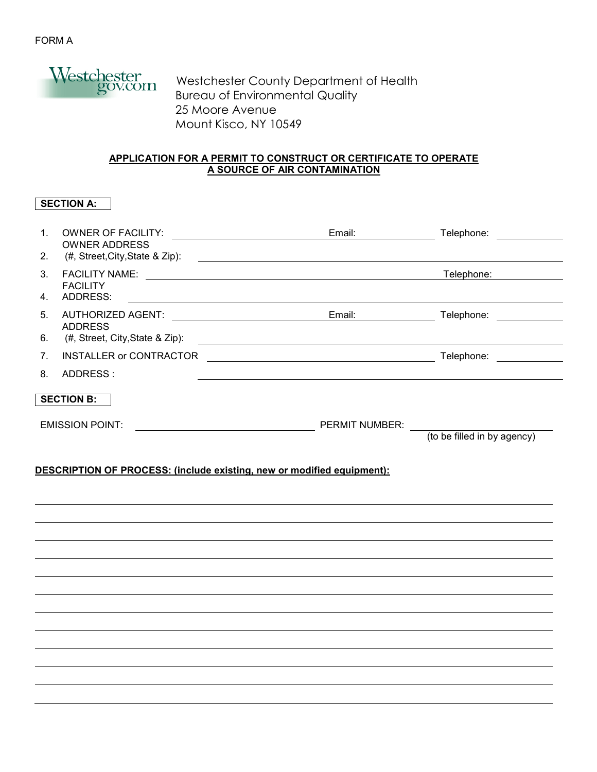

 Westchester County Department of Health Bureau of Environmental Quality 25 Moore Avenue Mount Kisco, NY 10549

## **APPLICATION FOR A PERMIT TO CONSTRUCT OR CERTIFICATE TO OPERATE A SOURCE OF AIR CONTAMINATION**

# **SECTION A:**

| $\mathbf{1}$ .    | <b>OWNER OF FACILITY:</b><br><b>OWNER ADDRESS</b> | Email:                | Telephone:                  |  |  |
|-------------------|---------------------------------------------------|-----------------------|-----------------------------|--|--|
| 2.                | (#, Street, City, State & Zip):                   |                       |                             |  |  |
| 3 <sub>1</sub>    | <b>FACILITY NAME:</b><br><b>FACILITY</b>          |                       | Telephone:                  |  |  |
| 4.                | ADDRESS:                                          |                       |                             |  |  |
| 5 <sub>1</sub>    | AUTHORIZED AGENT:                                 | Email:                | Telephone:                  |  |  |
| 6.                | <b>ADDRESS</b><br>(#, Street, City, State & Zip): |                       |                             |  |  |
| 7.                | <b>INSTALLER or CONTRACTOR</b>                    |                       | Telephone:                  |  |  |
| 8.                | ADDRESS:                                          |                       |                             |  |  |
| <b>SECTION B:</b> |                                                   |                       |                             |  |  |
|                   | <b>EMISSION POINT:</b>                            | <b>PERMIT NUMBER:</b> |                             |  |  |
|                   |                                                   |                       | (to be filled in by agency) |  |  |

## **DESCRIPTION OF PROCESS: (include existing, new or modified equipment):**